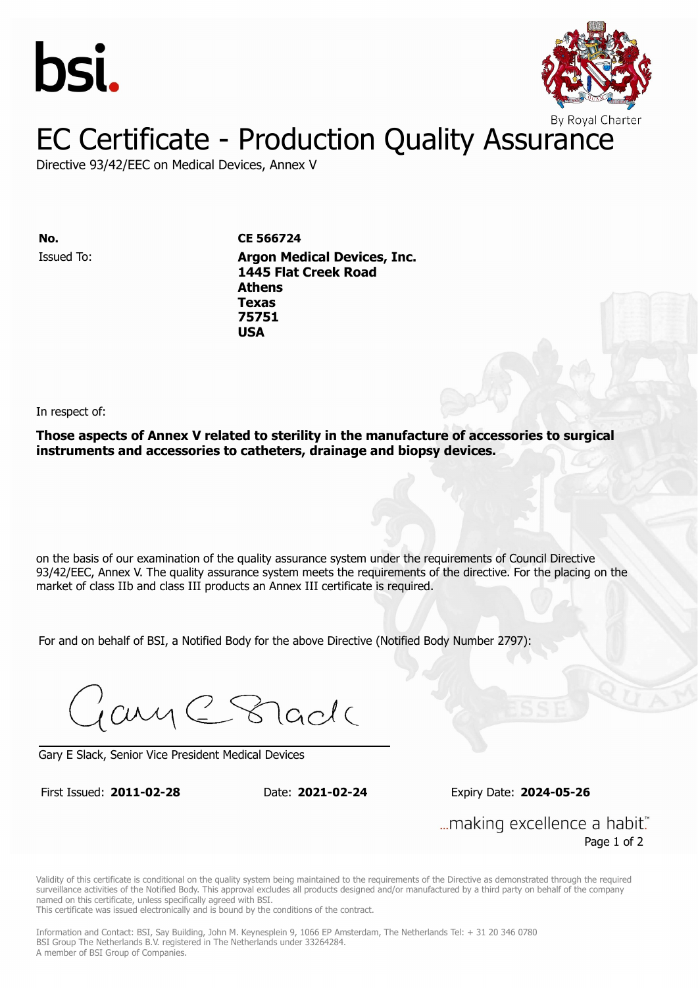



Directive 93/42/EEC on Medical Devices, Annex V

Issued To: **Argon Medical Devices, Inc. No. CE 566724 1445 Flat Creek Road Athens** Issued To: **Argon Medical Devices, Inc. Texas 1445 Flat Creek Road 75751 Athens Texas 75751 USA**

In respect of:

**Those aspects of Annex V related to sterility in the manufacture of accessories to surgical instruments and accessories to catheters, drainage and biopsy devices.**

on the basis of our examination of the quality assurance system under the requirements of Council Directive 93/42/EEC, Annex V. The quality assurance system meets the requirements of the directive. For the placing on the market of class IIb and class III products an Annex III certificate is required.

For and on behalf of BSI, a Notified Body for the above Directive (Notified Body Number 2797):

Gary C Stade

Gary E Slack, Senior Vice President Medical Devices

First Issued: **2011-02-28** Date: **2021-02-24** Expiry Date: **2024-05-26**

First Issued: **2011-02-28** Date: **2021-02-24** Expiry Date: **2024-05-26**

... making excellence a habit." Page 1 of 2

Validity of this certificate is conditional on the quality system being maintained to the requirements of the Directive as demonstrated through the required surveillance activities of the Notified Body. This approval excludes all products designed and/or manufactured by a third party on behalf of the company named on this certificate, unless specifically agreed with BSI.

This certificate was issued electronically and is bound by the conditions of the contract.

Information and Contact: BSI, Say Building, John M. Keynesplein 9, 1066 EP Amsterdam, The Netherlands Tel: + 31 20 346 0780 BSI Group The Netherlands B.V. registered in The Netherlands under 33264284. A member of BSI Group of Companies.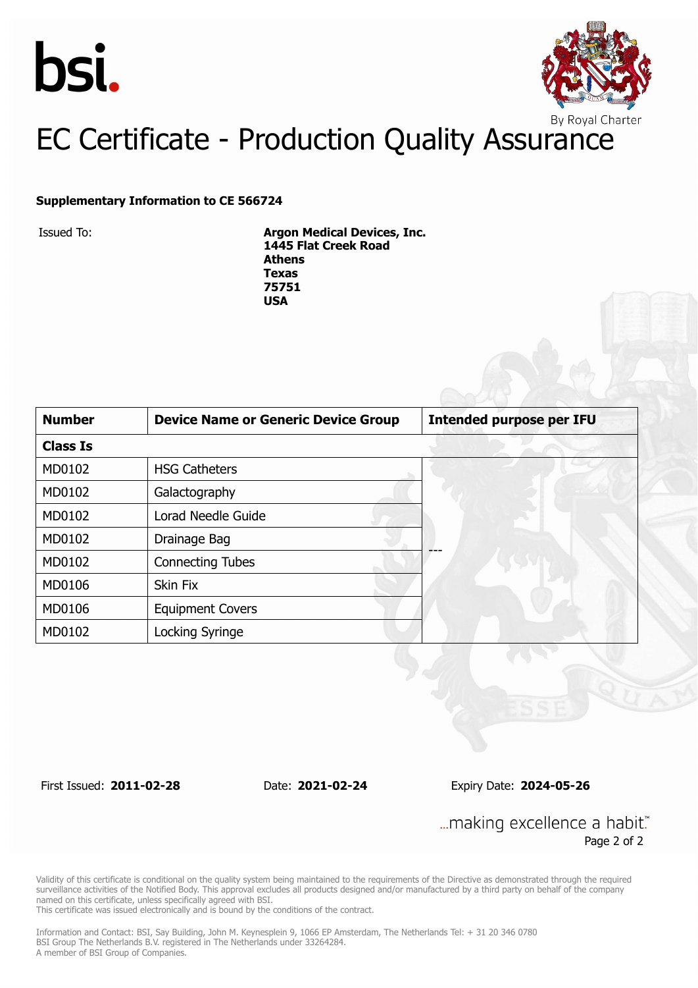



#### **Supplementary Information to CE 566724**

Issued To: **Argon Medical Devices, Inc. 1445 Flat Creek Road Athens Texas 75751 USA**

| <b>Number</b>   | <b>Device Name or Generic Device Group</b> | <b>Intended purpose per IFU</b> |  |
|-----------------|--------------------------------------------|---------------------------------|--|
| <b>Class Is</b> |                                            |                                 |  |
| MD0102          | <b>HSG Catheters</b>                       |                                 |  |
| MD0102          | Galactography                              |                                 |  |
| MD0102          | Lorad Needle Guide                         |                                 |  |
| MD0102          | Drainage Bag                               |                                 |  |
| MD0102          | <b>Connecting Tubes</b>                    |                                 |  |
| MD0106          | <b>Skin Fix</b>                            |                                 |  |
| MD0106          | <b>Equipment Covers</b>                    |                                 |  |
| MD0102          | Locking Syringe                            |                                 |  |

First Issued: **2011-02-28** Date: **2021-02-24** Expiry Date: **2024-05-26**

... making excellence a habit." Page 2 of 2

Validity of this certificate is conditional on the quality system being maintained to the requirements of the Directive as demonstrated through the required surveillance activities of the Notified Body. This approval excludes all products designed and/or manufactured by a third party on behalf of the company named on this certificate, unless specifically agreed with BSI.

This certificate was issued electronically and is bound by the conditions of the contract.

Information and Contact: BSI, Say Building, John M. Keynesplein 9, 1066 EP Amsterdam, The Netherlands Tel: + 31 20 346 0780 BSI Group The Netherlands B.V. registered in The Netherlands under 33264284. A member of BSI Group of Companies.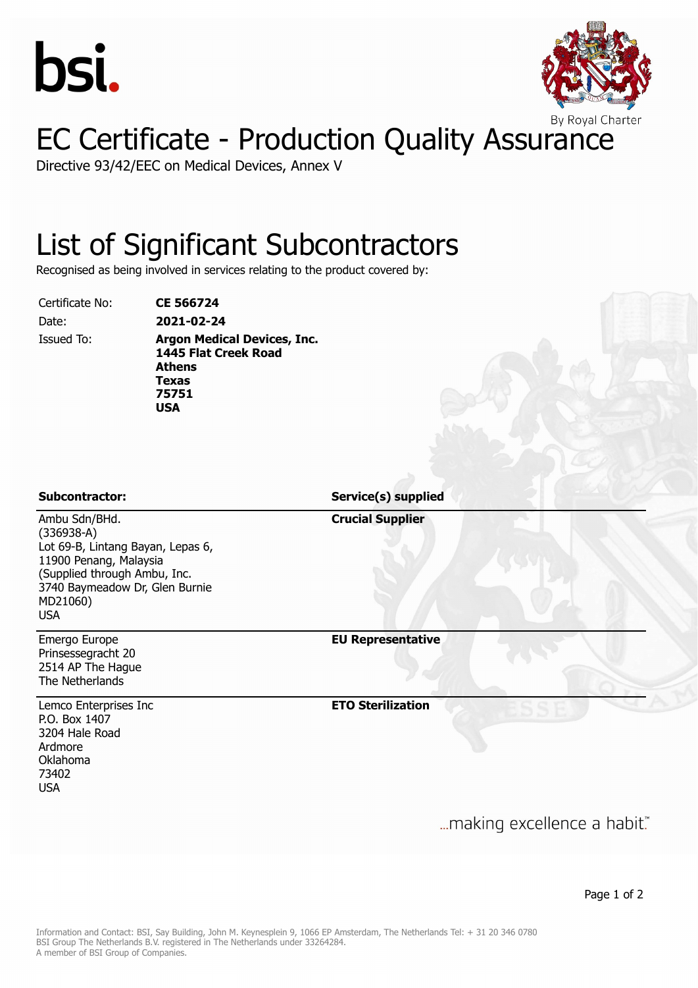



Directive 93/42/EEC on Medical Devices, Annex V

### List of Significant Subcontractors

Recognised as being involved in services relating to the product covered by:

Certificate No: **CE 566724**

Date: **2021-02-24** Issued To: **Argon Medical Devices, Inc. 1445 Flat Creek Road Athens Texas 75751 USA**

Ambu Sdn/BHd. (336938-A)

MD21060) USA

Lot 69-B, Lintang Bayan, Lepas 6,

11900 Penang, Malaysia (Supplied through Ambu, Inc. 3740 Baymeadow Dr, Glen Burnie

**Subcontractor: Service(s) supplied**

**Crucial Supplier**

**EU Representative**

Emergo Europe Prinsessegracht 20 2514 AP The Hague The Netherlands

Lemco Enterprises Inc P.O. Box 1407 3204 Hale Road Ardmore Oklahoma 73402 USA

**ETO Sterilization**

... making excellence a habit."

Page 1 of 2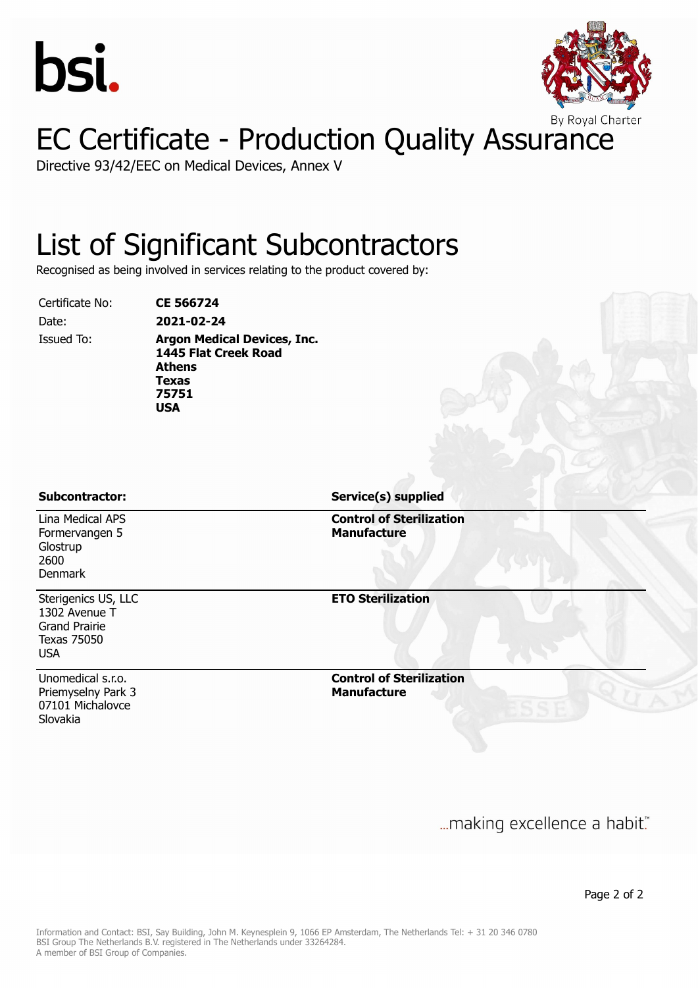



Directive 93/42/EEC on Medical Devices, Annex V

#### List of Significant Subcontractors

Recognised as being involved in services relating to the product covered by:

Certificate No: **CE 566724**

Date: **2021-02-24** Issued To: **Argon Medical Devices, Inc.**

**1445 Flat Creek Road Athens Texas 75751 USA**

Lina Medical APS Formervangen 5 **Glostrup** 2600 Denmark

Sterigenics US, LLC 1302 Avenue T Grand Prairie Texas 75050 USA

Unomedical s.r.o. Priemyselny Park 3 07101 Michalovce Slovakia

**Subcontractor: Service(s) supplied**

**Control of Sterilization Manufacture**

**ETO Sterilization**

**Control of Sterilization Manufacture**

... making excellence a habit."

Page 2 of 2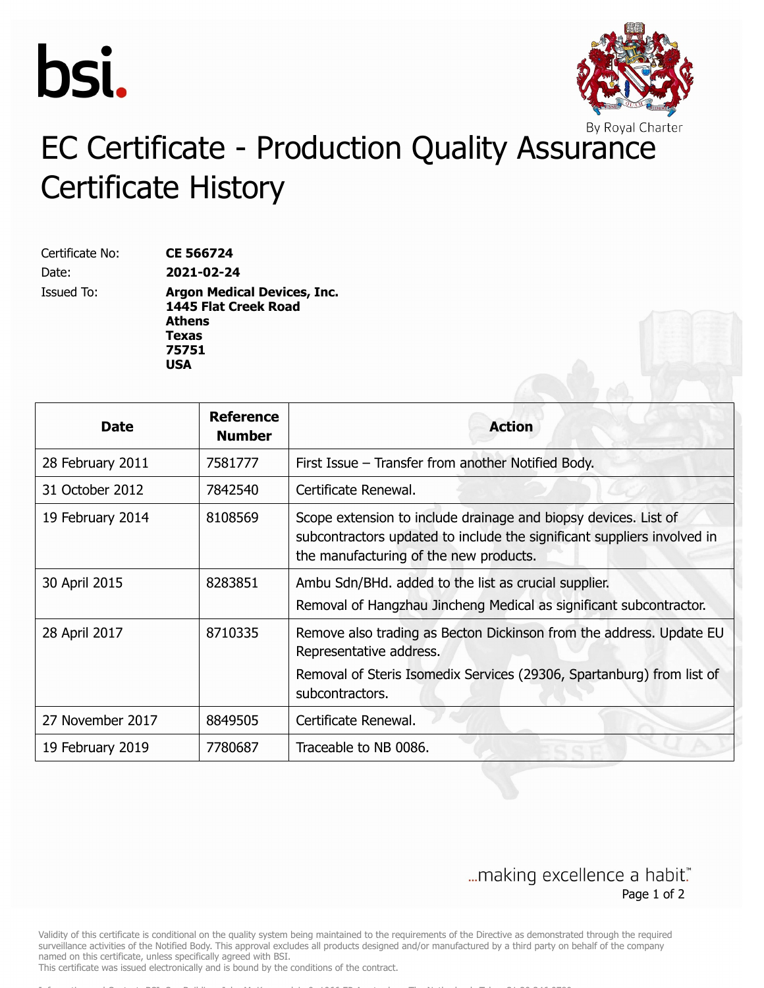



## EC Certificate - Production Quality Assurance Certificate History

| Certificate No:   | <b>CE 566724</b>                                                            |
|-------------------|-----------------------------------------------------------------------------|
| Date:             | 2021-02-24                                                                  |
| <b>Issued To:</b> | <b>Argon Medical Devices, Inc.</b><br>1445 Flat Creek Road<br><b>Athens</b> |
|                   | <b>Texas</b>                                                                |
|                   | 75751                                                                       |
|                   | USA                                                                         |

| <b>Date</b>      | <b>Reference</b><br><b>Number</b> | <b>Action</b>                                                                                                                                                                              |
|------------------|-----------------------------------|--------------------------------------------------------------------------------------------------------------------------------------------------------------------------------------------|
| 28 February 2011 | 7581777                           | First Issue – Transfer from another Notified Body.                                                                                                                                         |
| 31 October 2012  | 7842540                           | Certificate Renewal.                                                                                                                                                                       |
| 19 February 2014 | 8108569                           | Scope extension to include drainage and biopsy devices. List of<br>subcontractors updated to include the significant suppliers involved in<br>the manufacturing of the new products.       |
| 30 April 2015    | 8283851                           | Ambu Sdn/BHd. added to the list as crucial supplier.<br>Removal of Hangzhau Jincheng Medical as significant subcontractor.                                                                 |
| 28 April 2017    | 8710335                           | Remove also trading as Becton Dickinson from the address. Update EU<br>Representative address.<br>Removal of Steris Isomedix Services (29306, Spartanburg) from list of<br>subcontractors. |
| 27 November 2017 | 8849505                           | Certificate Renewal.                                                                                                                                                                       |
| 19 February 2019 | 7780687                           | Traceable to NB 0086.                                                                                                                                                                      |

#### ... making excellence a habit." Page 1 of 2

Validity of this certificate is conditional on the quality system being maintained to the requirements of the Directive as demonstrated through the required surveillance activities of the Notified Body. This approval excludes all products designed and/or manufactured by a third party on behalf of the company named on this certificate, unless specifically agreed with BSI.

This certificate was issued electronically and is bound by the conditions of the contract.

Information and Contact: BSI, Say Building, John M. Keynesplein 9, 1066 EP Amsterdam, The Netherlands Tel: + 31 20 346 0780